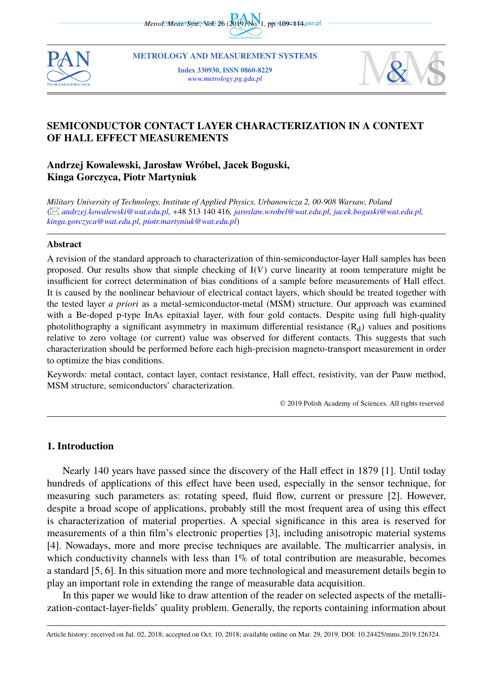*Metrol. Meas. Syst., 2019* No. 1, pp. 109-144 pan.pl



**METROLOGY AND MEASUREMENT SYSTEMS**

**Index 330930, ISSN 0860-8229** *[www.metrology.pg.gda.pl](http://www.metrology.pg.gda.pl/)*



# **SEMICONDUCTOR CONTACT LAYER CHARACTERIZATION IN A CONTEXT OF HALL EFFECT MEASUREMENTS**

# **Andrzej Kowalewski, Jarosław Wróbel, Jacek Boguski, Kinga Gorczyca, Piotr Martyniuk**

*Military University of Technology, Institute of Applied Physics, Urbanowicza 2, 00-908 Warsaw, Poland* ( *[andrzej.kowalewski@wat.edu.pl,](mailto:andrzej.kowalewski@wat.edu.pl)* +48 513 140 416*, [jaroslaw.wrobel@wat.edu.pl](mailto:jaroslaw.wrobel@wat.edu.pl), [jacek.boguski@wat.edu.pl](mailto:jacek.boguski@wat.edu.pl), [kinga.gorczyca@wat.edu.pl](mailto:kinga.gorczyca@wat.edu.pl), [piotr.martyniuk@wat.edu.pl](mailto:piotr.martyniuk@wat.edu.pl)*)

#### **Abstract**

A revision of the standard approach to characterization of thin-semiconductor-layer Hall samples has been proposed. Our results show that simple checking of I(*V*) curve linearity at room temperature might be insufficient for correct determination of bias conditions of a sample before measurements of Hall effect. It is caused by the nonlinear behaviour of electrical contact layers, which should be treated together with the tested layer *a priori* as a metal-semiconductor-metal (MSM) structure. Our approach was examined with a Be-doped p-type InAs epitaxial layer, with four gold contacts. Despite using full high-quality photolithography a significant asymmetry in maximum differential resistance  $(R_d)$  values and positions relative to zero voltage (or current) value was observed for different contacts. This suggests that such characterization should be performed before each high-precision magneto-transport measurement in order to optimize the bias conditions.

Keywords: metal contact, contact layer, contact resistance, Hall effect, resistivity, van der Pauw method, MSM structure, semiconductors' characterization.

© 2019 Polish Academy of Sciences. All rights reserved

## **1. Introduction**

Nearly 140 years have passed since the discovery of the Hall effect in 1879 [1]. Until today hundreds of applications of this effect have been used, especially in the sensor technique, for measuring such parameters as: rotating speed, fluid flow, current or pressure [2]. However, despite a broad scope of applications, probably still the most frequent area of using this effect is characterization of material properties. A special significance in this area is reserved for measurements of a thin film's electronic properties [3], including anisotropic material systems [4]. Nowadays, more and more precise techniques are available. The multicarrier analysis, in which conductivity channels with less than 1% of total contribution are measurable, becomes a standard [5, 6]. In this situation more and more technological and measurement details begin to play an important role in extending the range of measurable data acquisition.

In this paper we would like to draw attention of the reader on selected aspects of the metallization-contact-layer-fields' quality problem. Generally, the reports containing information about

Article history: received on Jul. 02, 2018; accepted on Oct. 10, 2018; available online on Mar. 29, 2019, DOI: 10.24425/mms.2019.126324.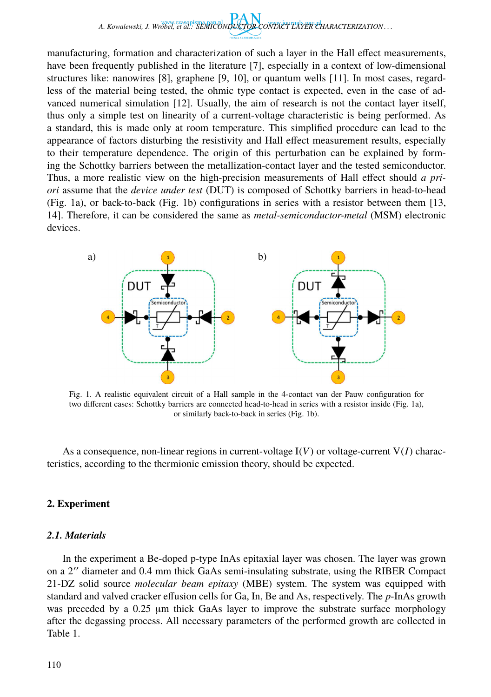

manufacturing, formation and characterization of such a layer in the Hall effect measurements, have been frequently published in the literature [7], especially in a context of low-dimensional structures like: nanowires [8], graphene [9, 10], or quantum wells [11]. In most cases, regardless of the material being tested, the ohmic type contact is expected, even in the case of advanced numerical simulation [12]. Usually, the aim of research is not the contact layer itself, thus only a simple test on linearity of a current-voltage characteristic is being performed. As a standard, this is made only at room temperature. This simplified procedure can lead to the appearance of factors disturbing the resistivity and Hall effect measurement results, especially to their temperature dependence. The origin of this perturbation can be explained by forming the Schottky barriers between the metallization-contact layer and the tested semiconductor. Thus, a more realistic view on the high-precision measurements of Hall effect should *a priori* assume that the *device under test* (DUT) is composed of Schottky barriers in head-to-head (Fig. 1a), or back-to-back (Fig. 1b) configurations in series with a resistor between them [13, 14]. Therefore, it can be considered the same as *metal-semiconductor-metal* (MSM) electronic devices.



Fig. 1. A realistic equivalent circuit of a Hall sample in the 4-contact van der Pauw configuration for two different cases: Schottky barriers are connected head-to-head in series with a resistor inside (Fig. 1a), or similarly back-to-back in series (Fig. 1b).

As a consequence, non-linear regions in current-voltage  $I(V)$  or voltage-current  $V(I)$  characteristics, according to the thermionic emission theory, should be expected.

# **2. Experiment**

## *2.1. Materials*

In the experiment a Be-doped p-type InAs epitaxial layer was chosen. The layer was grown on a 2 ′′ diameter and 0.4 mm thick GaAs semi-insulating substrate, using the RIBER Compact 21-DZ solid source *molecular beam epitaxy* (MBE) system. The system was equipped with standard and valved cracker effusion cells for Ga, In, Be and As, respectively. The *p*-InAs growth was preceded by a 0.25 µm thick GaAs layer to improve the substrate surface morphology after the degassing process. All necessary parameters of the performed growth are collected in Table 1.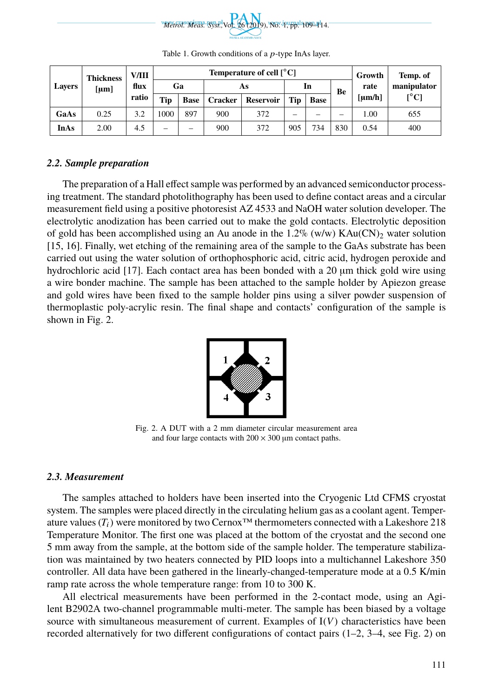

| <b>Lavers</b> | <b>Thickness</b><br>[µm] | V/III<br>flux<br>ratio | Temperature of cell $\lceil^{\circ} \text{C}\rceil$ |             |                |                  |                          |             |     | Growth | Temp. of                                  |
|---------------|--------------------------|------------------------|-----------------------------------------------------|-------------|----------------|------------------|--------------------------|-------------|-----|--------|-------------------------------------------|
|               |                          |                        | Ga                                                  |             | As             |                  | In                       |             | Be  | rate   | manipulator                               |
|               |                          |                        | <b>Tip</b>                                          | <b>Base</b> | <b>Cracker</b> | <b>Reservoir</b> | Tip                      | <b>Base</b> |     | [µm/h] | $\mathsf{I}^{\circ}\mathsf{C} \mathsf{I}$ |
| GaAs          | 0.25                     | 3.2                    | 1000                                                | 897         | 900            | 372              | $\overline{\phantom{a}}$ | -           | -   | 1.00   | 655                                       |
| <b>InAs</b>   | 2.00                     | 4.5                    | -                                                   | -           | 900            | 372              | 905                      | 734         | 830 | 0.54   | 400                                       |

Table 1. Growth conditions of a p-type InAs layer.

#### *2.2. Sample preparation*

The preparation of a Hall effect sample was performed by an advanced semiconductor processing treatment. The standard photolithography has been used to define contact areas and a circular measurement field using a positive photoresist AZ 4533 and NaOH water solution developer. The electrolytic anodization has been carried out to make the gold contacts. Electrolytic deposition of gold has been accomplished using an Au anode in the 1.2% (w/w)  $KAu(CN)$ <sub>2</sub> water solution [15, 16]. Finally, wet etching of the remaining area of the sample to the GaAs substrate has been carried out using the water solution of orthophosphoric acid, citric acid, hydrogen peroxide and hydrochloric acid [17]. Each contact area has been bonded with a 20  $\mu$ m thick gold wire using a wire bonder machine. The sample has been attached to the sample holder by Apiezon grease and gold wires have been fixed to the sample holder pins using a silver powder suspension of thermoplastic poly-acrylic resin. The final shape and contacts' configuration of the sample is shown in Fig. 2.



Fig. 2. A DUT with a 2 mm diameter circular measurement area and four large contacts with  $200 \times 300$  µm contact paths.

#### *2.3. Measurement*

The samples attached to holders have been inserted into the Cryogenic Ltd CFMS cryostat system. The samples were placed directly in the circulating helium gas as a coolant agent. Temperature values  $(T_i)$  were monitored by two Cernox<sup>™</sup> thermometers connected with a Lakeshore 218 Temperature Monitor. The first one was placed at the bottom of the cryostat and the second one 5 mm away from the sample, at the bottom side of the sample holder. The temperature stabilization was maintained by two heaters connected by PID loops into a multichannel Lakeshore 350 controller. All data have been gathered in the linearly-changed-temperature mode at a 0.5 K/min ramp rate across the whole temperature range: from 10 to 300 K.

All electrical measurements have been performed in the 2-contact mode, using an Agilent B2902A two-channel programmable multi-meter. The sample has been biased by a voltage source with simultaneous measurement of current. Examples of I(*V*) characteristics have been recorded alternatively for two different configurations of contact pairs (1–2, 3–4, see Fig. 2) on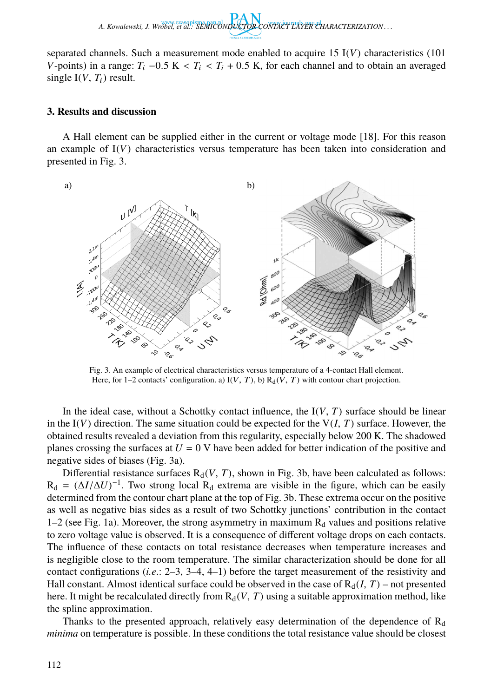*A. Kowalewski, J. Wróbel, et al.: SEMICONDUCTOR CONTACT LAYER CHARACTERIZATION . . .*

separated channels. Such a measurement mode enabled to acquire 15 I(*V*) characteristics (101 *V*-points) in a range:  $T_i$  –0.5 K <  $T_i$  <  $T_i$  + 0.5 K, for each channel and to obtain an averaged single  $I(V, T_i)$  result.

#### **3. Results and discussion**

A Hall element can be supplied either in the current or voltage mode [18]. For this reason an example of  $I(V)$  characteristics versus temperature has been taken into consideration and presented in Fig. 3.



Fig. 3. An example of electrical characteristics versus temperature of a 4-contact Hall element. Here, for 1–2 contacts' configuration. a)  $I(V, T)$ , b)  $R_d(V, T)$  with contour chart projection.

In the ideal case, without a Schottky contact influence, the  $I(V, T)$  surface should be linear in the  $I(V)$  direction. The same situation could be expected for the  $V(I, T)$  surface. However, the obtained results revealed a deviation from this regularity, especially below 200 K. The shadowed planes crossing the surfaces at  $U = 0$  V have been added for better indication of the positive and negative sides of biases (Fig. 3a).

Differential resistance surfaces  $R_d(V, T)$ , shown in Fig. 3b, have been calculated as follows:  $R_d = (\Delta I / \Delta U)^{-1}$ . Two strong local  $R_d$  extrema are visible in the figure, which can be easily determined from the contour chart plane at the top of Fig. 3b. These extrema occur on the positive as well as negative bias sides as a result of two Schottky junctions' contribution in the contact  $1-2$  (see Fig. 1a). Moreover, the strong asymmetry in maximum  $R_d$  values and positions relative to zero voltage value is observed. It is a consequence of different voltage drops on each contacts. The influence of these contacts on total resistance decreases when temperature increases and is negligible close to the room temperature. The similar characterization should be done for all contact configurations (*i.e*.: 2–3, 3–4, 4–1) before the target measurement of the resistivity and Hall constant. Almost identical surface could be observed in the case of  $R_d(I, T)$  – not presented here. It might be recalculated directly from  $R_d(V, T)$  using a suitable approximation method, like the spline approximation.

Thanks to the presented approach, relatively easy determination of the dependence of  $R<sub>d</sub>$ *minima* on temperature is possible. In these conditions the total resistance value should be closest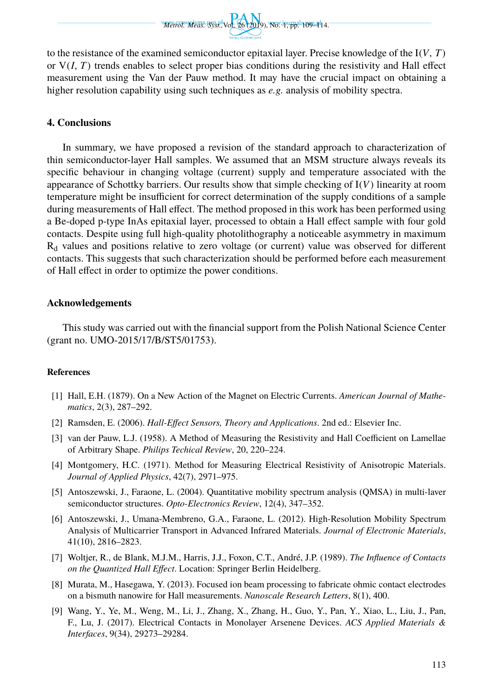

to the resistance of the examined semiconductor epitaxial layer. Precise knowledge of the I(*V*, *T*) or  $V(I, T)$  trends enables to select proper bias conditions during the resistivity and Hall effect measurement using the Van der Pauw method. It may have the crucial impact on obtaining a higher resolution capability using such techniques as *e.g.* analysis of mobility spectra.

## **4. Conclusions**

In summary, we have proposed a revision of the standard approach to characterization of thin semiconductor-layer Hall samples. We assumed that an MSM structure always reveals its specific behaviour in changing voltage (current) supply and temperature associated with the appearance of Schottky barriers. Our results show that simple checking of I(*V*) linearity at room temperature might be insufficient for correct determination of the supply conditions of a sample during measurements of Hall effect. The method proposed in this work has been performed using a Be-doped p-type InAs epitaxial layer, processed to obtain a Hall effect sample with four gold contacts. Despite using full high-quality photolithography a noticeable asymmetry in maximum R<sup>d</sup> values and positions relative to zero voltage (or current) value was observed for different contacts. This suggests that such characterization should be performed before each measurement of Hall effect in order to optimize the power conditions.

## **Acknowledgements**

This study was carried out with the financial support from the Polish National Science Center (grant no. UMO-2015/17/B/ST5/01753).

#### <span id="page-4-0"></span>**References**

- [1] Hall, E.H. (1879). On a New Action of the Magnet on Electric Currents. *American Journal of Mathematics*, 2(3), 287–292.
- [2] Ramsden, E. (2006). *Hall-Effect Sensors, Theory and Applications*. 2nd ed.: Elsevier Inc.
- [3] van der Pauw, L.J. (1958). A Method of Measuring the Resistivity and Hall Coefficient on Lamellae of Arbitrary Shape. *Philips Techical Review*, 20, 220–224.
- [4] Montgomery, H.C. (1971). Method for Measuring Electrical Resistivity of Anisotropic Materials. *Journal of Applied Physics*, 42(7), 2971–975.
- [5] Antoszewski, J., Faraone, L. (2004). Quantitative mobility spectrum analysis (QMSA) in multi-laver semiconductor structures. *Opto-Electronics Review*, 12(4), 347–352.
- [6] Antoszewski, J., Umana-Membreno, G.A., Faraone, L. (2012). High-Resolution Mobility Spectrum Analysis of Multicarrier Transport in Advanced Infrared Materials. *Journal of Electronic Materials*, 41(10), 2816–2823.
- [7] Woltjer, R., de Blank, M.J.M., Harris, J.J., Foxon, C.T., André, J.P. (1989). *The Influence of Contacts on the Quantized Hall Effect*. Location: Springer Berlin Heidelberg.
- [8] Murata, M., Hasegawa, Y. (2013). Focused ion beam processing to fabricate ohmic contact electrodes on a bismuth nanowire for Hall measurements. *Nanoscale Research Letters*, 8(1), 400.
- [9] Wang, Y., Ye, M., Weng, M., Li, J., Zhang, X., Zhang, H., Guo, Y., Pan, Y., Xiao, L., Liu, J., Pan, F., Lu, J. (2017). Electrical Contacts in Monolayer Arsenene Devices. *ACS Applied Materials & Interfaces*, 9(34), 29273–29284.